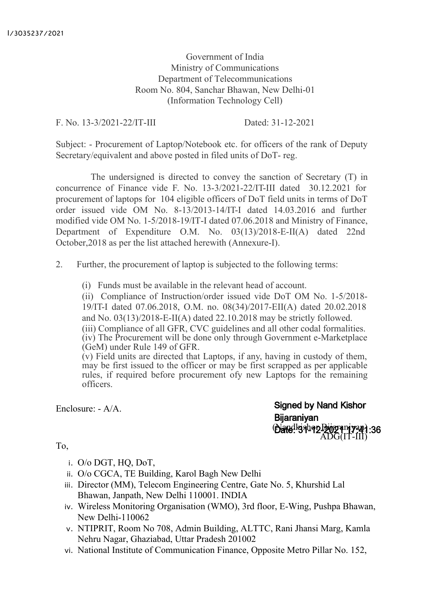Government of India Ministry of Communications Department of Telecommunications Room No. 804, Sanchar Bhawan, New Delhi-01 (Information Technology Cell)

F. No. 13-3/2021-22/IT-III Dated: 31-12-2021

Subject: - Procurement of Laptop/Notebook etc. for officers of the rank of Deputy Secretary/equivalent and above posted in filed units of DoT- reg.

The undersigned is directed to convey the sanction of Secretary (T) in concurrence of Finance vide F. No. 13-3/2021-22/IT-III dated 30.12.2021 for procurement of laptops for 104 eligible officers of DoT field units in terms of DoT order issued vide OM No. 8-13/2013-14/IT-I dated 14.03.2016 and further modified vide OM No. 1-5/2018-19/IT-I dated 07.06.2018 and Ministry of Finance, Department of Expenditure O.M. No. 03(13)/2018-E-II(A) dated 22nd October,2018 as per the list attached herewith (Annexure-I).

- 2. Further, the procurement of laptop is subjected to the following terms:
	- (i) Funds must be available in the relevant head of account.

(ii) Compliance of Instruction/order issued vide DoT OM No. 1-5/2018- 19/IT-I dated 07.06.2018, O.M. no. 08(34)/2017-EII(A) dated 20.02.2018 and No. 03(13)/2018-E-II(A) dated 22.10.2018 may be strictly followed. (iii) Compliance of all GFR, CVC guidelines and all other codal formalities. (iv) The Procurement will be done only through Government e-Marketplace (GeM) under Rule 149 of GFR.

(v) Field units are directed that Laptops, if any, having in custody of them, may be first issued to the officer or may be first scrapped as per applicable rules, if required before procurement ofy new Laptops for the remaining officers.

Enclosure: - A/A.

**Signed by Nand Kishor Bijaraniyan** (Danalkishop Biggram yan) ADG(IT-III)

To,

- i. O/o DGT, HQ, DoT,
- ii. O/o CGCA, TE Building, Karol Bagh New Delhi
- iii. Director (MM), Telecom Engineering Centre, Gate No. 5, Khurshid Lal Bhawan, Janpath, New Delhi 110001. INDIA
- iv. Wireless Monitoring Organisation (WMO), 3rd floor, E-Wing, Pushpa Bhawan, New Delhi-110062
- v. NTIPRIT, Room No 708, Admin Building, ALTTC, Rani Jhansi Marg, Kamla Nehru Nagar, Ghaziabad, Uttar Pradesh 201002
- vi. National Institute of Communication Finance, Opposite Metro Pillar No. 152,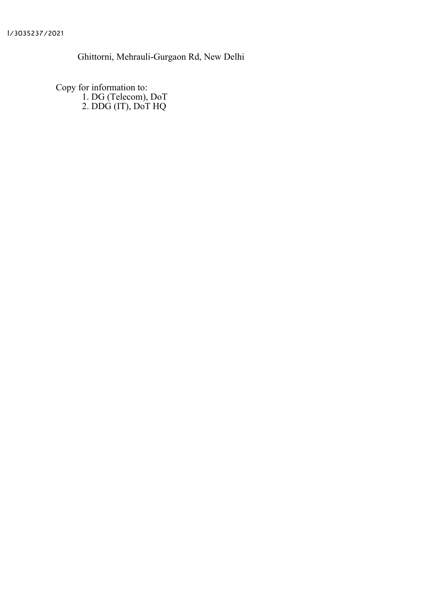Ghittorni, Mehrauli-Gurgaon Rd, New Delhi

Copy for information to: 1. DG (Telecom), DoT 2. DDG (IT), DoT HQ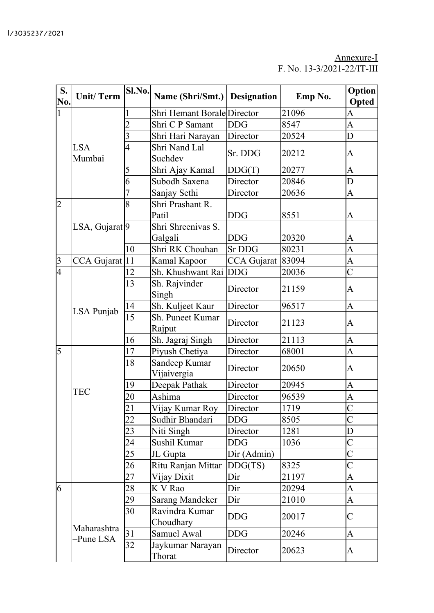## Annexure-I F. No. 13-3/2021-22/IT-III

| S.<br>No.      | <b>Unit/Term</b>          | Sl.No.          | Name (Shri/Smt.) Designation      |                    | Emp No. | <b>Option</b><br>Opted |
|----------------|---------------------------|-----------------|-----------------------------------|--------------------|---------|------------------------|
| $\mathbf{1}$   |                           | 1               | Shri Hemant Borale Director       |                    | 21096   | A                      |
|                |                           | 2               | Shri C P Samant                   | <b>DDG</b>         | 8547    | A                      |
|                |                           | 3               | Shri Hari Narayan                 | Director           | 20524   | D                      |
|                | <b>LSA</b><br>Mumbai      | $\overline{4}$  | Shri Nand Lal<br>Suchdev          | Sr. DDG            | 20212   | A                      |
|                |                           | 5               | Shri Ajay Kamal                   | DDG(T)             | 20277   | A                      |
|                |                           | 6               | Subodh Saxena                     | Director           | 20846   | D                      |
|                |                           |                 | Sanjay Sethi                      | Director           | 20636   | A                      |
| $\overline{2}$ |                           | 8               | Shri Prashant R.<br>Patil         | <b>DDG</b>         | 8551    | A                      |
|                | LSA, Gujarat <sup>9</sup> |                 | Shri Shreenivas S.<br>Galgali     | <b>DDG</b>         | 20320   | A                      |
|                |                           | 10              | Shri RK Chouhan                   | <b>Sr DDG</b>      | 80231   | A                      |
| $\overline{3}$ | CCA Gujarat               | 11              | Kamal Kapoor                      | <b>CCA</b> Gujarat | 83094   | A                      |
| $\overline{4}$ |                           | 12              | Sh. Khushwant Rai DDG             |                    | 20036   | $\overline{C}$         |
|                | LSA Punjab                | 13              | Sh. Rajvinder<br>Singh            | Director           | 21159   | A                      |
|                |                           | 14              | Sh. Kuljeet Kaur                  | Director           | 96517   | A                      |
|                |                           | $\overline{15}$ | <b>Sh. Puneet Kumar</b><br>Rajput | Director           | 21123   | A                      |
|                |                           | 16              | Sh. Jagraj Singh                  | Director           | 21113   | A                      |
| $\overline{5}$ | <b>TEC</b>                | 17              | Piyush Chetiya                    | Director           | 68001   | $\overline{A}$         |
|                |                           | 18              | Sandeep Kumar<br>Vijaivergia      | Director           | 20650   | A                      |
|                |                           | 19              | Deepak Pathak                     | Director           | 20945   | A                      |
|                |                           | 20              | Ashima                            | Director           | 96539   | A                      |
|                |                           | $\overline{21}$ | Vijay Kumar Roy                   | Director           | 1719    | $\overline{C}$         |
|                |                           | 22              | Sudhir Bhandari                   | DDG                | 8505    | $\overline{\rm C}$     |
|                |                           | 23              | Niti Singh                        | Director           | 1281    | D                      |
|                |                           | 24              | Sushil Kumar                      | DDG                | 1036    | $\overline{\rm C}$     |
|                |                           | 25              | JL Gupta                          | Dir (Admin)        |         | $\overline{\rm C}$     |
|                |                           | 26              | Ritu Ranjan Mittar                | DDG(TS)            | 8325    | $\overline{C}$         |
|                |                           | 27              | Vijay Dixit                       | Dir                | 21197   | A                      |
| 6              |                           | 28              | K V Rao                           | Dir                | 20294   | A                      |
|                |                           | 29              | <b>Sarang Mandeker</b>            | Dir                | 21010   | A                      |
|                | Maharashtra<br>-Pune LSA  | 30              | Ravindra Kumar<br>Choudhary       | DDG                | 20017   | C                      |
|                |                           | 31              | Samuel Awal                       | <b>DDG</b>         | 20246   | A                      |
|                |                           | 32              | Jaykumar Narayan<br>Thorat        | Director           | 20623   | A                      |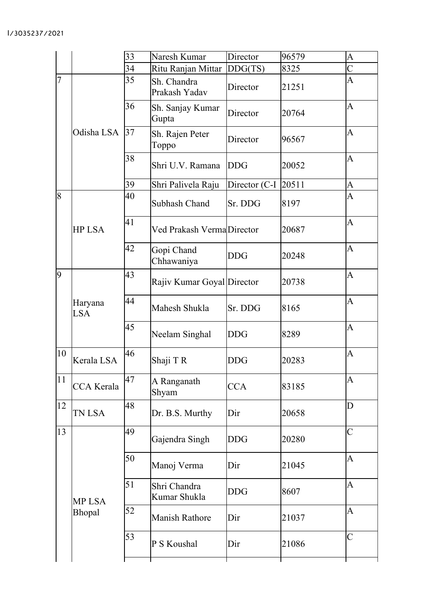|                |                         | 33 | Naresh Kumar                 | Director      | 96579 | A              |
|----------------|-------------------------|----|------------------------------|---------------|-------|----------------|
|                |                         | 34 | Ritu Ranjan Mittar           | DDG(TS)       | 8325  | $\overline{C}$ |
| $\overline{7}$ |                         | 35 | Sh. Chandra<br>Prakash Yadav | Director      | 21251 | A              |
|                |                         | 36 | Sh. Sanjay Kumar<br>Gupta    | Director      | 20764 | A              |
|                | Odisha LSA              | 37 | Sh. Rajen Peter<br>Toppo     | Director      | 96567 | A              |
|                |                         | 38 | Shri U.V. Ramana             | <b>DDG</b>    | 20052 | A              |
|                |                         | 39 | Shri Palivela Raju           | Director (C-I | 20511 | A              |
| 8              |                         | 40 | <b>Subhash Chand</b>         | Sr. DDG       | 8197  | A              |
|                | <b>HP LSA</b>           | 41 | Ved Prakash VermaDirector    |               | 20687 | A              |
|                |                         | 42 | Gopi Chand<br>Chhawaniya     | DDG           | 20248 | A              |
| 9              |                         | 43 | Rajiv Kumar Goyal Director   |               | 20738 | A              |
|                | Haryana<br><b>LSA</b>   | 44 | Mahesh Shukla                | Sr. DDG       | 8165  | A              |
|                |                         | 45 | Neelam Singhal               | <b>DDG</b>    | 8289  | A              |
| 10             | Kerala LSA              | 46 | Shaji T R                    | DDG           | 20283 | A              |
| 11             | <b>CCA</b> Kerala       | 47 | A Ranganath<br>Shyam         | <b>CCA</b>    | 83185 | A              |
| 12             | TN LSA                  | 48 | Dr. B.S. Murthy              | Dir           | 20658 | D              |
| 13             |                         | 49 | Gajendra Singh               | <b>DDG</b>    | 20280 | $\mathsf{C}$   |
|                | <b>MP LSA</b><br>Bhopal | 50 | Manoj Verma                  | Dir           | 21045 | $\overline{A}$ |
|                |                         | 51 | Shri Chandra<br>Kumar Shukla | DDG           | 8607  | $\overline{A}$ |
|                |                         | 52 | <b>Manish Rathore</b>        | Dir           | 21037 | A              |
|                |                         | 53 | P S Koushal                  | Dir           | 21086 | $\overline{C}$ |
|                |                         |    |                              |               |       |                |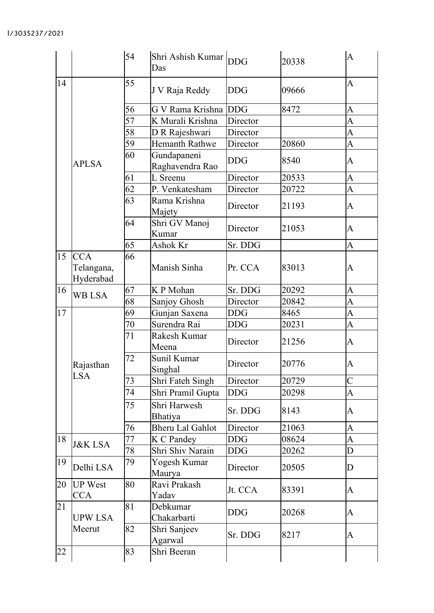|    |                                       | 54 | Shri Ashish Kumar DDG<br>Das   |            | 20338 | $\overline{A}$                                                                                                                                                                                                                                                                                                                                                                                                                                                                      |
|----|---------------------------------------|----|--------------------------------|------------|-------|-------------------------------------------------------------------------------------------------------------------------------------------------------------------------------------------------------------------------------------------------------------------------------------------------------------------------------------------------------------------------------------------------------------------------------------------------------------------------------------|
| 14 | <b>APLSA</b>                          | 55 | J V Raja Reddy                 | DDG        | 09666 | $\overline{A}$                                                                                                                                                                                                                                                                                                                                                                                                                                                                      |
|    |                                       | 56 | G V Rama Krishna DDG           |            | 8472  | A                                                                                                                                                                                                                                                                                                                                                                                                                                                                                   |
|    |                                       | 57 | K Murali Krishna               | Director   |       | A                                                                                                                                                                                                                                                                                                                                                                                                                                                                                   |
|    |                                       | 58 | D R Rajeshwari                 | Director   |       | A                                                                                                                                                                                                                                                                                                                                                                                                                                                                                   |
|    |                                       | 59 | Hemanth Rathwe                 | Director   | 20860 | $\overline{A}$                                                                                                                                                                                                                                                                                                                                                                                                                                                                      |
|    |                                       | 60 | Gundapaneni<br>Raghavendra Rao | <b>DDG</b> | 8540  | A                                                                                                                                                                                                                                                                                                                                                                                                                                                                                   |
|    |                                       | 61 | L Sreenu                       | Director   | 20533 | A                                                                                                                                                                                                                                                                                                                                                                                                                                                                                   |
|    |                                       | 62 | P. Venkatesham                 | Director   | 20722 | A                                                                                                                                                                                                                                                                                                                                                                                                                                                                                   |
|    |                                       | 63 | Rama Krishna<br>Majety         | Director   | 21193 | A                                                                                                                                                                                                                                                                                                                                                                                                                                                                                   |
|    |                                       | 64 | Shri GV Manoj<br>Kumar         | Director   | 21053 | A                                                                                                                                                                                                                                                                                                                                                                                                                                                                                   |
|    |                                       | 65 | Ashok Kr                       | Sr. DDG    |       | A                                                                                                                                                                                                                                                                                                                                                                                                                                                                                   |
| 15 | <b>CCA</b><br>Telangana,<br>Hyderabad | 66 | Manish Sinha                   | Pr. CCA    | 83013 | A                                                                                                                                                                                                                                                                                                                                                                                                                                                                                   |
| 16 | <b>WB LSA</b>                         | 67 | K P Mohan                      | Sr. DDG    | 20292 | $\overline{A}$                                                                                                                                                                                                                                                                                                                                                                                                                                                                      |
|    |                                       | 68 | Sanjoy Ghosh                   | Director   | 20842 | A                                                                                                                                                                                                                                                                                                                                                                                                                                                                                   |
| 17 | Rajasthan<br><b>LSA</b>               | 69 | Gunjan Saxena                  | DDG        | 8465  | A                                                                                                                                                                                                                                                                                                                                                                                                                                                                                   |
|    |                                       | 70 | Surendra Rai                   | <b>DDG</b> | 20231 | A                                                                                                                                                                                                                                                                                                                                                                                                                                                                                   |
|    |                                       | 71 | Rakesh Kumar<br>Meena          | Director   | 21256 | A                                                                                                                                                                                                                                                                                                                                                                                                                                                                                   |
|    |                                       | 72 | Sunil Kumar<br>Singhal         | Director   | 20776 | A                                                                                                                                                                                                                                                                                                                                                                                                                                                                                   |
|    |                                       | 73 | Shri Fateh Singh               | Director   | 20729 | $\mathsf{C}% _{0}\!\left( \mathcal{M}_{0}\right) ^{T}\!\left( \mathcal{M}_{0}\right) ^{T}\!\left( \mathcal{M}_{0}\right) ^{T}\!\left( \mathcal{M}_{0}\right) ^{T}\!\left( \mathcal{M}_{0}\right) ^{T}\!\left( \mathcal{M}_{0}\right) ^{T}\!\left( \mathcal{M}_{0}\right) ^{T}\!\left( \mathcal{M}_{0}\right) ^{T}\!\left( \mathcal{M}_{0}\right) ^{T}\!\left( \mathcal{M}_{0}\right) ^{T}\!\left( \mathcal{M}_{0}\right) ^{T}\!\left( \mathcal{M}_{0}\right) ^{T}\!\left( \mathcal$ |
|    |                                       | 74 | Shri Pramil Gupta              | DDG        | 20298 | A                                                                                                                                                                                                                                                                                                                                                                                                                                                                                   |
|    |                                       | 75 | Shri Harwesh<br>Bhatiya        | Sr. DDG    | 8143  | A                                                                                                                                                                                                                                                                                                                                                                                                                                                                                   |
|    |                                       | 76 | <b>Bheru Lal Gahlot</b>        | Director   | 21063 | A                                                                                                                                                                                                                                                                                                                                                                                                                                                                                   |
| 18 | <b>J&amp;K LSA</b>                    | 77 | K C Pandey                     | DDG        | 08624 | A                                                                                                                                                                                                                                                                                                                                                                                                                                                                                   |
|    |                                       | 78 | Shri Shiv Narain               | DDG        | 20262 | D                                                                                                                                                                                                                                                                                                                                                                                                                                                                                   |
| 19 | Delhi LSA                             | 79 | Yogesh Kumar<br>Maurya         | Director   | 20505 | D                                                                                                                                                                                                                                                                                                                                                                                                                                                                                   |
| 20 | <b>UP</b> West<br><b>CCA</b>          | 80 | Ravi Prakash<br>Yadav          | Jt. CCA    | 83391 | A                                                                                                                                                                                                                                                                                                                                                                                                                                                                                   |
| 21 | <b>UPW LSA</b>                        | 81 | Debkumar<br>Chakarbarti        | <b>DDG</b> | 20268 | A                                                                                                                                                                                                                                                                                                                                                                                                                                                                                   |
|    | Meerut                                | 82 | Shri Sanjeev<br>Agarwal        | Sr. DDG    | 8217  | A                                                                                                                                                                                                                                                                                                                                                                                                                                                                                   |
| 22 |                                       | 83 | Shri Beeran                    |            |       |                                                                                                                                                                                                                                                                                                                                                                                                                                                                                     |